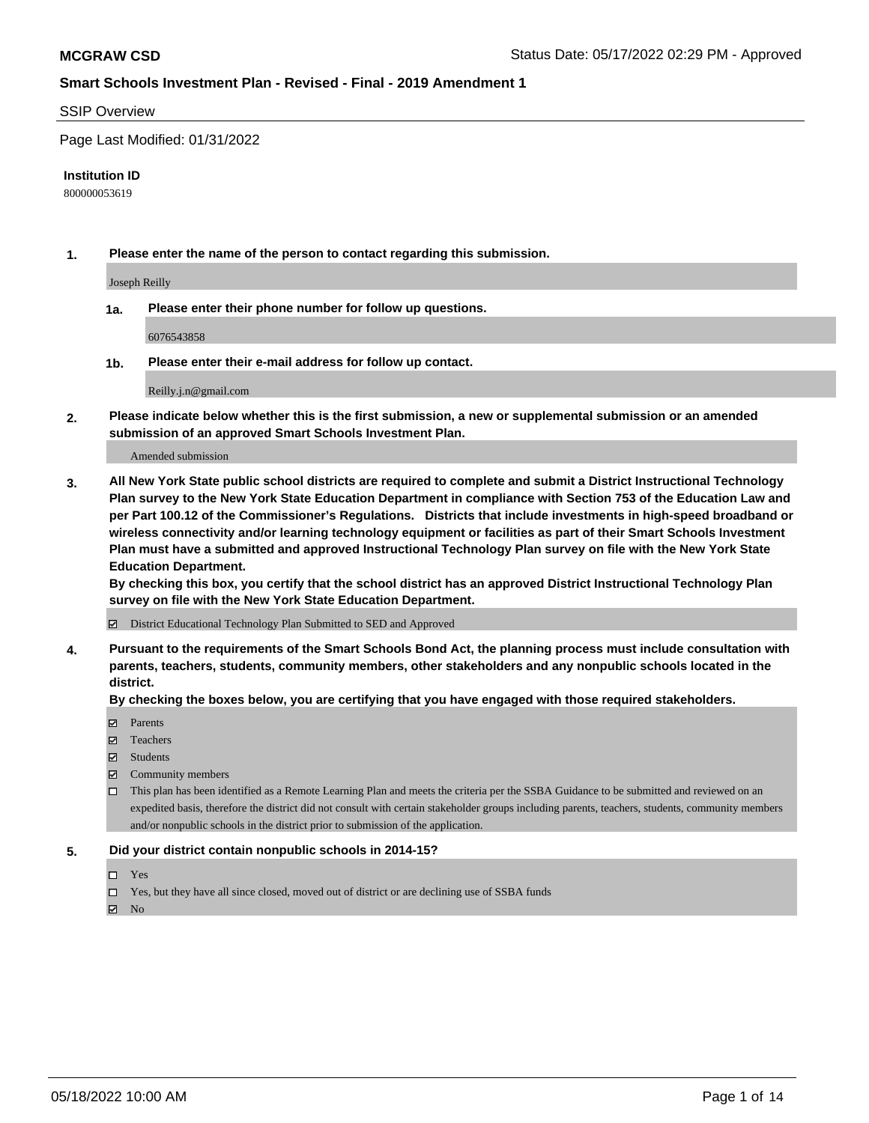#### SSIP Overview

Page Last Modified: 01/31/2022

#### **Institution ID**

800000053619

**1. Please enter the name of the person to contact regarding this submission.**

Joseph Reilly

**1a. Please enter their phone number for follow up questions.**

6076543858

**1b. Please enter their e-mail address for follow up contact.**

Reilly.j.n@gmail.com

**2. Please indicate below whether this is the first submission, a new or supplemental submission or an amended submission of an approved Smart Schools Investment Plan.**

Amended submission

**3. All New York State public school districts are required to complete and submit a District Instructional Technology Plan survey to the New York State Education Department in compliance with Section 753 of the Education Law and per Part 100.12 of the Commissioner's Regulations. Districts that include investments in high-speed broadband or wireless connectivity and/or learning technology equipment or facilities as part of their Smart Schools Investment Plan must have a submitted and approved Instructional Technology Plan survey on file with the New York State Education Department.** 

**By checking this box, you certify that the school district has an approved District Instructional Technology Plan survey on file with the New York State Education Department.**

District Educational Technology Plan Submitted to SED and Approved

**4. Pursuant to the requirements of the Smart Schools Bond Act, the planning process must include consultation with parents, teachers, students, community members, other stakeholders and any nonpublic schools located in the district.** 

**By checking the boxes below, you are certifying that you have engaged with those required stakeholders.**

- **□** Parents
- Teachers
- Students
- $\Xi$  Community members
- This plan has been identified as a Remote Learning Plan and meets the criteria per the SSBA Guidance to be submitted and reviewed on an expedited basis, therefore the district did not consult with certain stakeholder groups including parents, teachers, students, community members and/or nonpublic schools in the district prior to submission of the application.

#### **5. Did your district contain nonpublic schools in 2014-15?**

- Yes
- $\Box$  Yes, but they have all since closed, moved out of district or are declining use of SSBA funds

 $\boxtimes$  No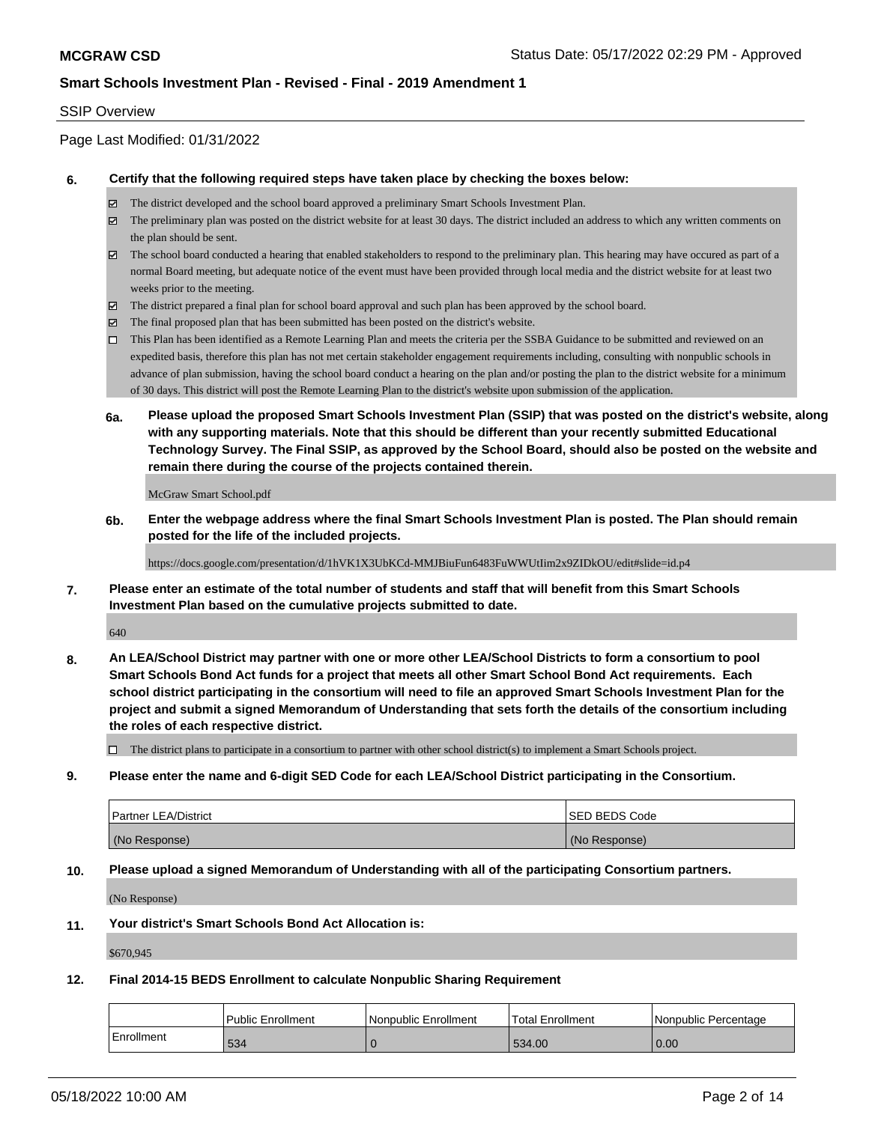#### SSIP Overview

Page Last Modified: 01/31/2022

#### **6. Certify that the following required steps have taken place by checking the boxes below:**

- The district developed and the school board approved a preliminary Smart Schools Investment Plan.
- $\boxtimes$  The preliminary plan was posted on the district website for at least 30 days. The district included an address to which any written comments on the plan should be sent.
- $\boxtimes$  The school board conducted a hearing that enabled stakeholders to respond to the preliminary plan. This hearing may have occured as part of a normal Board meeting, but adequate notice of the event must have been provided through local media and the district website for at least two weeks prior to the meeting.
- The district prepared a final plan for school board approval and such plan has been approved by the school board.
- $\boxtimes$  The final proposed plan that has been submitted has been posted on the district's website.
- This Plan has been identified as a Remote Learning Plan and meets the criteria per the SSBA Guidance to be submitted and reviewed on an expedited basis, therefore this plan has not met certain stakeholder engagement requirements including, consulting with nonpublic schools in advance of plan submission, having the school board conduct a hearing on the plan and/or posting the plan to the district website for a minimum of 30 days. This district will post the Remote Learning Plan to the district's website upon submission of the application.
- **6a. Please upload the proposed Smart Schools Investment Plan (SSIP) that was posted on the district's website, along with any supporting materials. Note that this should be different than your recently submitted Educational Technology Survey. The Final SSIP, as approved by the School Board, should also be posted on the website and remain there during the course of the projects contained therein.**

McGraw Smart School.pdf

**6b. Enter the webpage address where the final Smart Schools Investment Plan is posted. The Plan should remain posted for the life of the included projects.**

https://docs.google.com/presentation/d/1hVK1X3UbKCd-MMJBiuFun6483FuWWUtIim2x9ZIDkOU/edit#slide=id.p4

**7. Please enter an estimate of the total number of students and staff that will benefit from this Smart Schools Investment Plan based on the cumulative projects submitted to date.**

640

**8. An LEA/School District may partner with one or more other LEA/School Districts to form a consortium to pool Smart Schools Bond Act funds for a project that meets all other Smart School Bond Act requirements. Each school district participating in the consortium will need to file an approved Smart Schools Investment Plan for the project and submit a signed Memorandum of Understanding that sets forth the details of the consortium including the roles of each respective district.**

 $\Box$  The district plans to participate in a consortium to partner with other school district(s) to implement a Smart Schools project.

**9. Please enter the name and 6-digit SED Code for each LEA/School District participating in the Consortium.**

| <b>Partner LEA/District</b> | <b>ISED BEDS Code</b> |
|-----------------------------|-----------------------|
| (No Response)               | (No Response)         |

#### **10. Please upload a signed Memorandum of Understanding with all of the participating Consortium partners.**

(No Response)

#### **11. Your district's Smart Schools Bond Act Allocation is:**

\$670,945

#### **12. Final 2014-15 BEDS Enrollment to calculate Nonpublic Sharing Requirement**

|            | Public Enrollment | l Nonpublic Enrollment | Total Enrollment | l Nonpublic Percentage |
|------------|-------------------|------------------------|------------------|------------------------|
| Enrollment | 534               |                        | 534.00           | 0.00                   |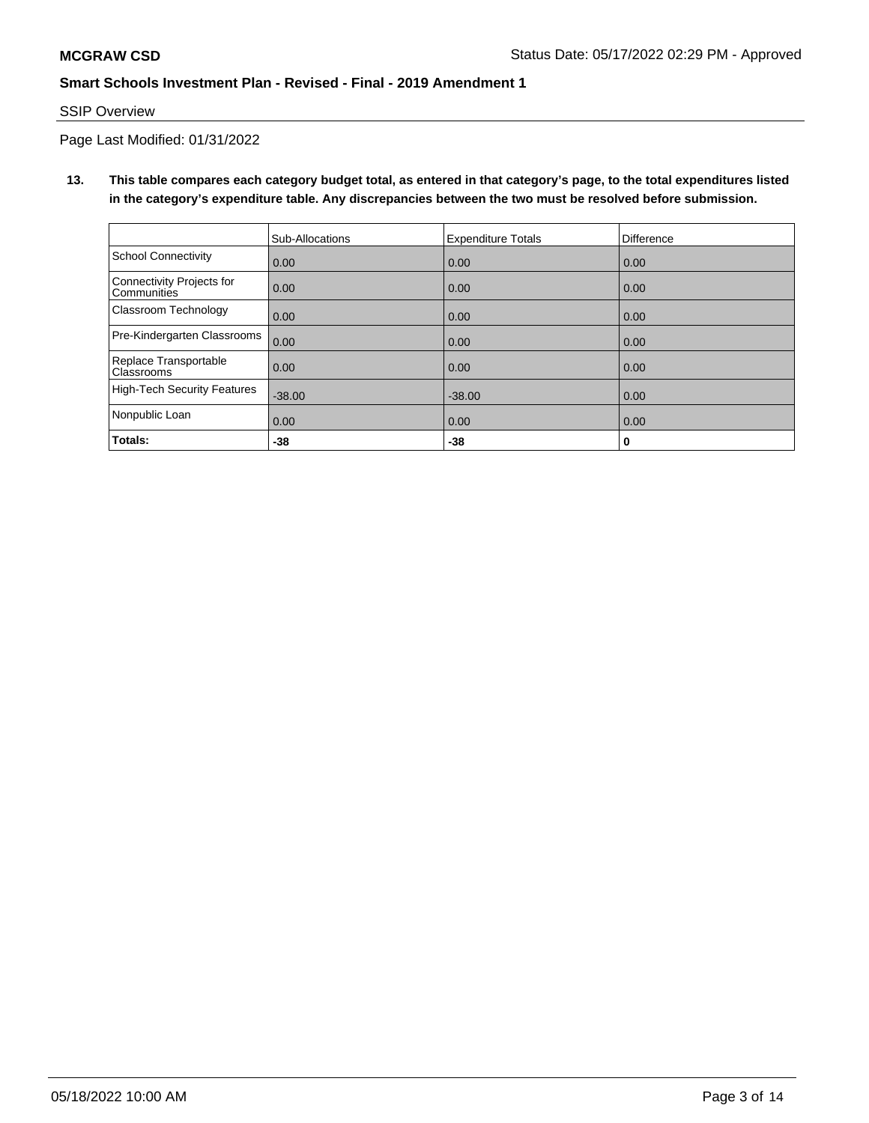## SSIP Overview

Page Last Modified: 01/31/2022

**13. This table compares each category budget total, as entered in that category's page, to the total expenditures listed in the category's expenditure table. Any discrepancies between the two must be resolved before submission.**

|                                                 | Sub-Allocations | <b>Expenditure Totals</b> | <b>Difference</b> |
|-------------------------------------------------|-----------------|---------------------------|-------------------|
| School Connectivity                             | 0.00            | 0.00                      | 0.00              |
| Connectivity Projects for<br><b>Communities</b> | 0.00            | 0.00                      | 0.00              |
| <b>Classroom Technology</b>                     | 0.00            | 0.00                      | 0.00              |
| Pre-Kindergarten Classrooms                     | 0.00            | 0.00                      | 0.00              |
| Replace Transportable<br>Classrooms             | 0.00            | 0.00                      | 0.00              |
| High-Tech Security Features                     | $-38.00$        | $-38.00$                  | 0.00              |
| Nonpublic Loan                                  | 0.00            | 0.00                      | 0.00              |
| Totals:                                         | -38             | -38                       | 0                 |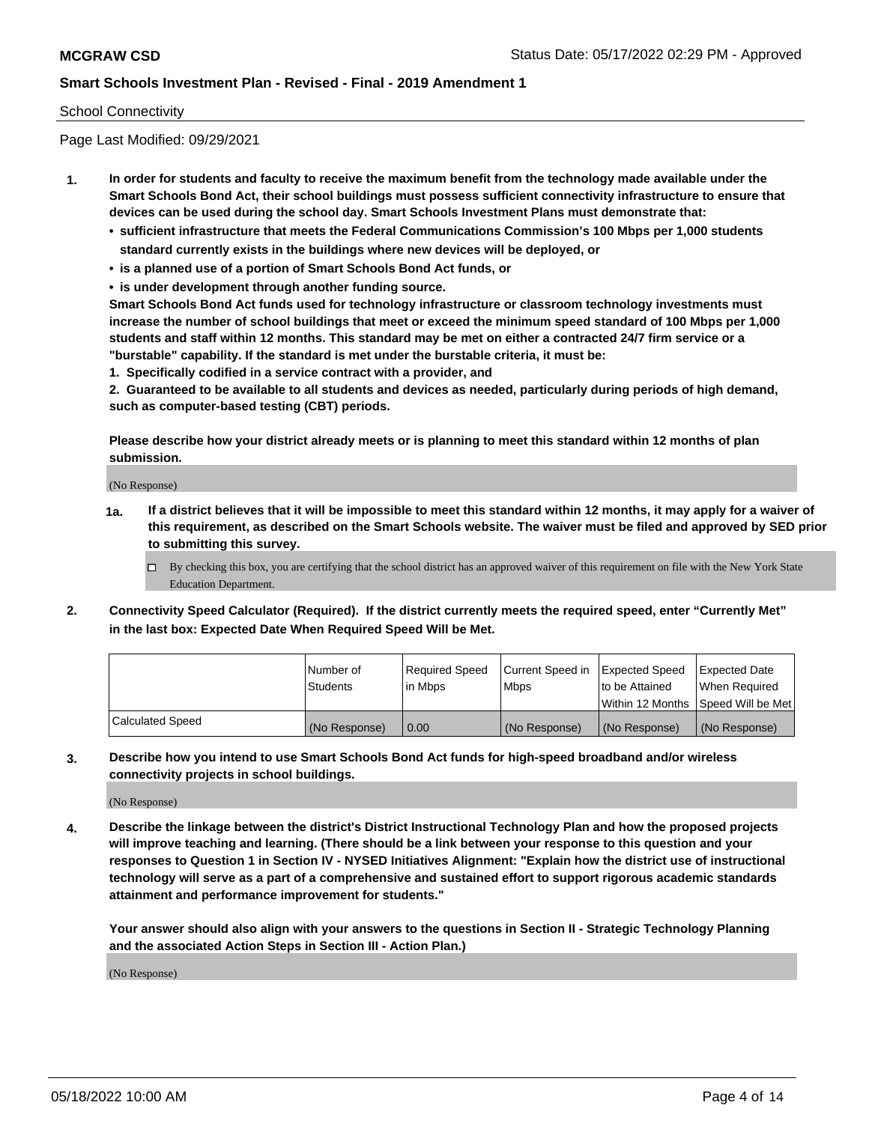### School Connectivity

Page Last Modified: 09/29/2021

- **1. In order for students and faculty to receive the maximum benefit from the technology made available under the Smart Schools Bond Act, their school buildings must possess sufficient connectivity infrastructure to ensure that devices can be used during the school day. Smart Schools Investment Plans must demonstrate that:**
	- **• sufficient infrastructure that meets the Federal Communications Commission's 100 Mbps per 1,000 students standard currently exists in the buildings where new devices will be deployed, or**
	- **• is a planned use of a portion of Smart Schools Bond Act funds, or**
	- **• is under development through another funding source.**

**Smart Schools Bond Act funds used for technology infrastructure or classroom technology investments must increase the number of school buildings that meet or exceed the minimum speed standard of 100 Mbps per 1,000 students and staff within 12 months. This standard may be met on either a contracted 24/7 firm service or a "burstable" capability. If the standard is met under the burstable criteria, it must be:**

**1. Specifically codified in a service contract with a provider, and**

**2. Guaranteed to be available to all students and devices as needed, particularly during periods of high demand, such as computer-based testing (CBT) periods.**

**Please describe how your district already meets or is planning to meet this standard within 12 months of plan submission.**

(No Response)

- **1a. If a district believes that it will be impossible to meet this standard within 12 months, it may apply for a waiver of this requirement, as described on the Smart Schools website. The waiver must be filed and approved by SED prior to submitting this survey.**
	- By checking this box, you are certifying that the school district has an approved waiver of this requirement on file with the New York State Education Department.
- **2. Connectivity Speed Calculator (Required). If the district currently meets the required speed, enter "Currently Met" in the last box: Expected Date When Required Speed Will be Met.**

|                  | l Number of     | Required Speed | Current Speed in Expected Speed |                                    | Expected Date |
|------------------|-----------------|----------------|---------------------------------|------------------------------------|---------------|
|                  | <b>Students</b> | l in Mbps      | <b>Mbps</b>                     | to be Attained                     | When Reauired |
|                  |                 |                |                                 | Within 12 Months Speed Will be Met |               |
| Calculated Speed | (No Response)   | 0.00           | (No Response)                   | (No Response)                      | (No Response) |

**3. Describe how you intend to use Smart Schools Bond Act funds for high-speed broadband and/or wireless connectivity projects in school buildings.**

(No Response)

**4. Describe the linkage between the district's District Instructional Technology Plan and how the proposed projects will improve teaching and learning. (There should be a link between your response to this question and your responses to Question 1 in Section IV - NYSED Initiatives Alignment: "Explain how the district use of instructional technology will serve as a part of a comprehensive and sustained effort to support rigorous academic standards attainment and performance improvement for students."** 

**Your answer should also align with your answers to the questions in Section II - Strategic Technology Planning and the associated Action Steps in Section III - Action Plan.)**

(No Response)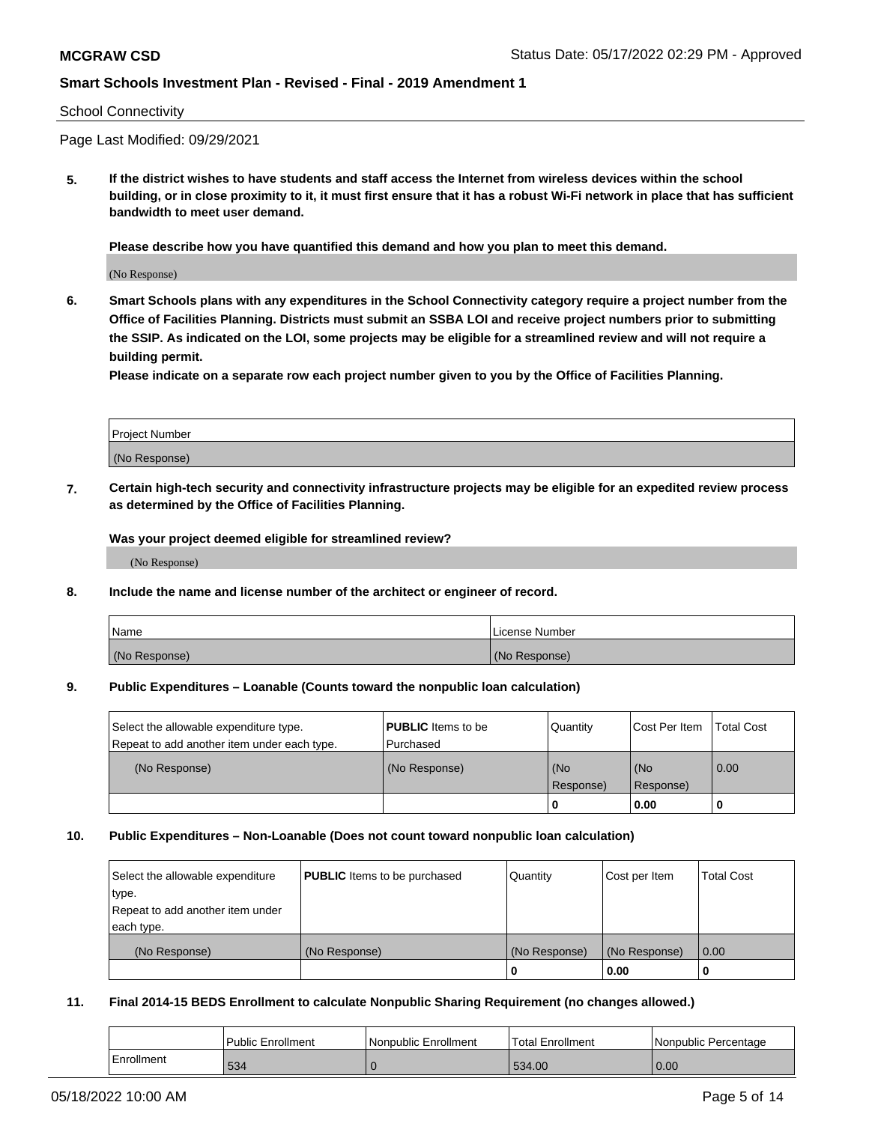#### School Connectivity

Page Last Modified: 09/29/2021

**5. If the district wishes to have students and staff access the Internet from wireless devices within the school building, or in close proximity to it, it must first ensure that it has a robust Wi-Fi network in place that has sufficient bandwidth to meet user demand.**

**Please describe how you have quantified this demand and how you plan to meet this demand.**

(No Response)

**6. Smart Schools plans with any expenditures in the School Connectivity category require a project number from the Office of Facilities Planning. Districts must submit an SSBA LOI and receive project numbers prior to submitting the SSIP. As indicated on the LOI, some projects may be eligible for a streamlined review and will not require a building permit.**

**Please indicate on a separate row each project number given to you by the Office of Facilities Planning.**

| <b>Project Number</b> |  |
|-----------------------|--|
| (No<br>Response)      |  |

**7. Certain high-tech security and connectivity infrastructure projects may be eligible for an expedited review process as determined by the Office of Facilities Planning.**

**Was your project deemed eligible for streamlined review?**

(No Response)

#### **8. Include the name and license number of the architect or engineer of record.**

| Name          | License Number |
|---------------|----------------|
| (No Response) | (No Response)  |

#### **9. Public Expenditures – Loanable (Counts toward the nonpublic loan calculation)**

| Select the allowable expenditure type.<br>Repeat to add another item under each type. | <b>PUBLIC</b> Items to be<br>l Purchased | Quantity         | Cost Per Item    | <b>Total Cost</b> |
|---------------------------------------------------------------------------------------|------------------------------------------|------------------|------------------|-------------------|
| (No Response)                                                                         | (No Response)                            | (No<br>Response) | (No<br>Response) | 0.00              |
|                                                                                       |                                          | -0               | 0.00             |                   |

### **10. Public Expenditures – Non-Loanable (Does not count toward nonpublic loan calculation)**

| Select the allowable expenditure | <b>PUBLIC</b> Items to be purchased | Quantity      | Cost per Item | <b>Total Cost</b> |
|----------------------------------|-------------------------------------|---------------|---------------|-------------------|
| type.                            |                                     |               |               |                   |
| Repeat to add another item under |                                     |               |               |                   |
| each type.                       |                                     |               |               |                   |
| (No Response)                    | (No Response)                       | (No Response) | (No Response) | 0.00              |
|                                  |                                     | U             | 0.00          |                   |

#### **11. Final 2014-15 BEDS Enrollment to calculate Nonpublic Sharing Requirement (no changes allowed.)**

|            | Public Enrollment | Nonpublic Enrollment | 'Total Enrollment | l Nonpublic Percentage |
|------------|-------------------|----------------------|-------------------|------------------------|
| Enrollment | 534               |                      | 534.00            | 0.00                   |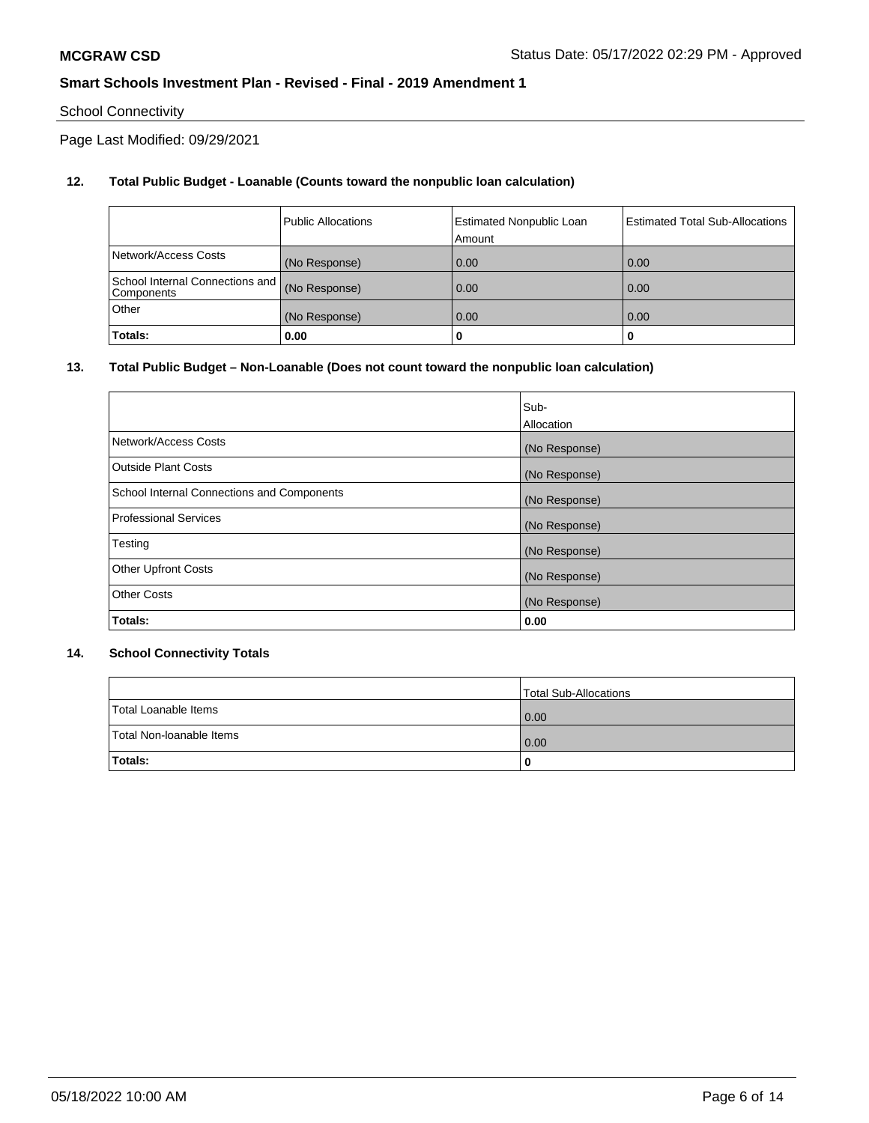# School Connectivity

Page Last Modified: 09/29/2021

# **12. Total Public Budget - Loanable (Counts toward the nonpublic loan calculation)**

|                                               | <b>Public Allocations</b> | <b>Estimated Nonpublic Loan</b><br>Amount | Estimated Total Sub-Allocations |
|-----------------------------------------------|---------------------------|-------------------------------------------|---------------------------------|
| Network/Access Costs                          | (No Response)             | 0.00                                      | 0.00                            |
| School Internal Connections and<br>Components | (No Response)             | 0.00                                      | 0.00                            |
| Other                                         | (No Response)             | 0.00                                      | 0.00                            |
| Totals:                                       | 0.00                      |                                           | 0                               |

## **13. Total Public Budget – Non-Loanable (Does not count toward the nonpublic loan calculation)**

|                                            | Sub-          |
|--------------------------------------------|---------------|
|                                            | Allocation    |
| Network/Access Costs                       | (No Response) |
| <b>Outside Plant Costs</b>                 | (No Response) |
| School Internal Connections and Components | (No Response) |
| <b>Professional Services</b>               | (No Response) |
| Testing                                    | (No Response) |
| <b>Other Upfront Costs</b>                 | (No Response) |
| <b>Other Costs</b>                         | (No Response) |
| Totals:                                    | 0.00          |

### **14. School Connectivity Totals**

|                          | Total Sub-Allocations |
|--------------------------|-----------------------|
| Total Loanable Items     | 0.00                  |
| Total Non-Ioanable Items | 0.00                  |
| Totals:                  | 0                     |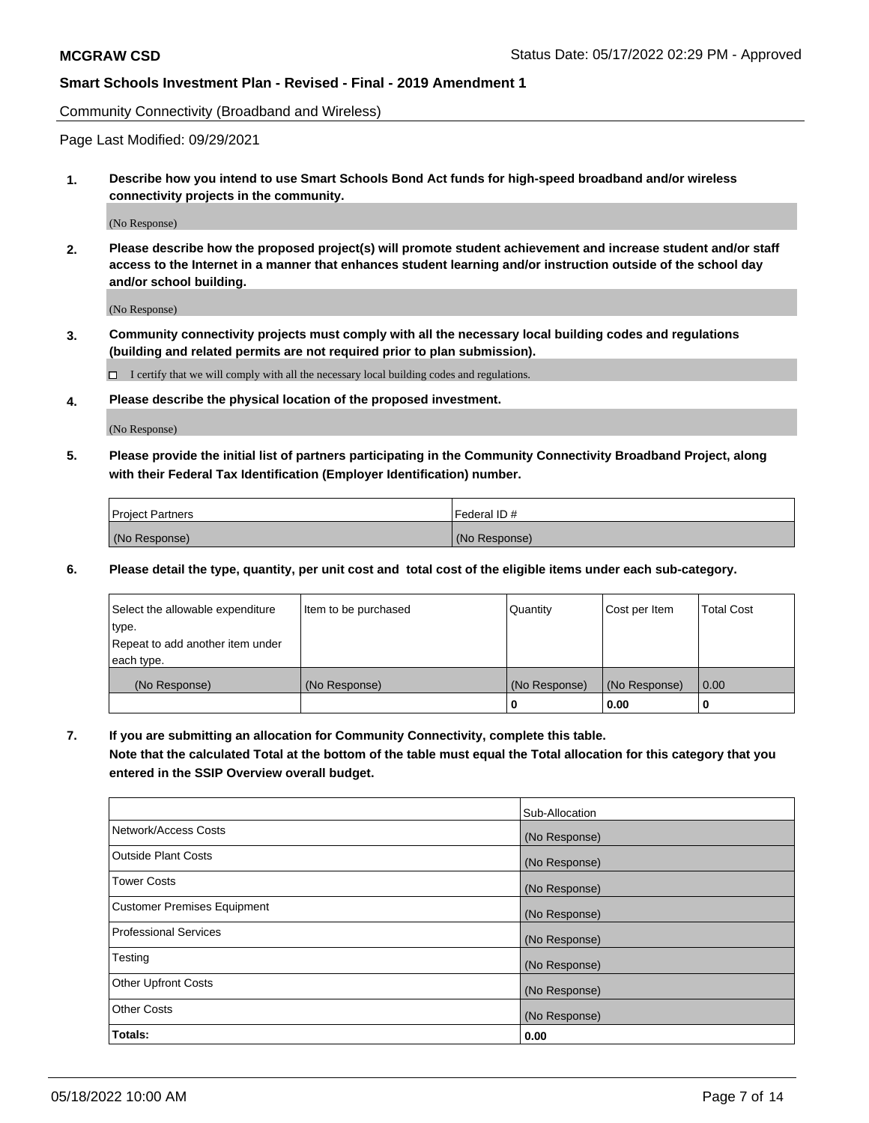Community Connectivity (Broadband and Wireless)

Page Last Modified: 09/29/2021

**1. Describe how you intend to use Smart Schools Bond Act funds for high-speed broadband and/or wireless connectivity projects in the community.**

(No Response)

**2. Please describe how the proposed project(s) will promote student achievement and increase student and/or staff access to the Internet in a manner that enhances student learning and/or instruction outside of the school day and/or school building.**

(No Response)

**3. Community connectivity projects must comply with all the necessary local building codes and regulations (building and related permits are not required prior to plan submission).**

 $\Box$  I certify that we will comply with all the necessary local building codes and regulations.

**4. Please describe the physical location of the proposed investment.**

(No Response)

**5. Please provide the initial list of partners participating in the Community Connectivity Broadband Project, along with their Federal Tax Identification (Employer Identification) number.**

| <b>Project Partners</b> | Federal ID#   |
|-------------------------|---------------|
| (No Response)           | (No Response) |

**6. Please detail the type, quantity, per unit cost and total cost of the eligible items under each sub-category.**

| Select the allowable expenditure | Item to be purchased | Quantity      | Cost per Item | <b>Total Cost</b> |
|----------------------------------|----------------------|---------------|---------------|-------------------|
| type.                            |                      |               |               |                   |
| Repeat to add another item under |                      |               |               |                   |
| each type.                       |                      |               |               |                   |
| (No Response)                    | (No Response)        | (No Response) | (No Response) | 0.00              |
|                                  |                      | 0             | 0.00          |                   |

**7. If you are submitting an allocation for Community Connectivity, complete this table.**

**Note that the calculated Total at the bottom of the table must equal the Total allocation for this category that you entered in the SSIP Overview overall budget.**

|                                    | Sub-Allocation |
|------------------------------------|----------------|
| Network/Access Costs               | (No Response)  |
| Outside Plant Costs                | (No Response)  |
| <b>Tower Costs</b>                 | (No Response)  |
| <b>Customer Premises Equipment</b> | (No Response)  |
| Professional Services              | (No Response)  |
| Testing                            | (No Response)  |
| <b>Other Upfront Costs</b>         | (No Response)  |
| <b>Other Costs</b>                 | (No Response)  |
| Totals:                            | 0.00           |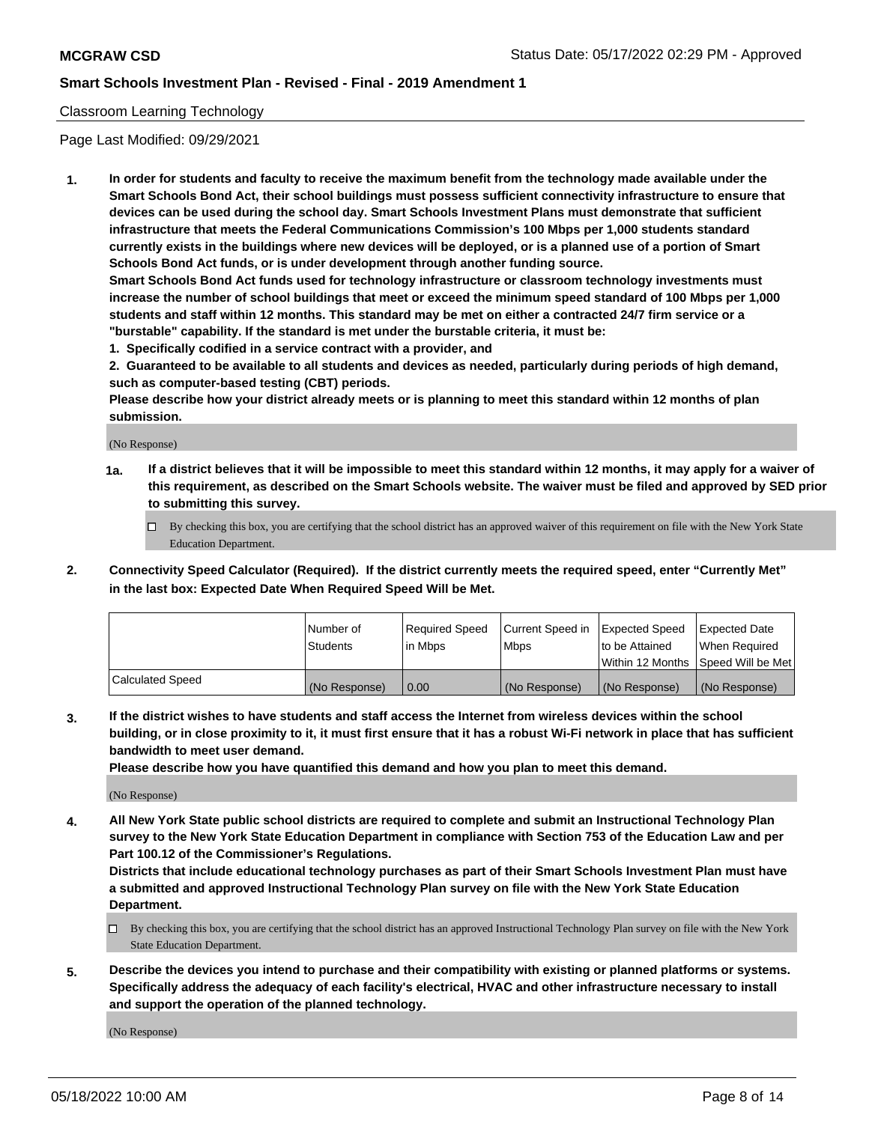### Classroom Learning Technology

Page Last Modified: 09/29/2021

**1. In order for students and faculty to receive the maximum benefit from the technology made available under the Smart Schools Bond Act, their school buildings must possess sufficient connectivity infrastructure to ensure that devices can be used during the school day. Smart Schools Investment Plans must demonstrate that sufficient infrastructure that meets the Federal Communications Commission's 100 Mbps per 1,000 students standard currently exists in the buildings where new devices will be deployed, or is a planned use of a portion of Smart Schools Bond Act funds, or is under development through another funding source.**

**Smart Schools Bond Act funds used for technology infrastructure or classroom technology investments must increase the number of school buildings that meet or exceed the minimum speed standard of 100 Mbps per 1,000 students and staff within 12 months. This standard may be met on either a contracted 24/7 firm service or a "burstable" capability. If the standard is met under the burstable criteria, it must be:**

**1. Specifically codified in a service contract with a provider, and**

**2. Guaranteed to be available to all students and devices as needed, particularly during periods of high demand, such as computer-based testing (CBT) periods.**

**Please describe how your district already meets or is planning to meet this standard within 12 months of plan submission.**

(No Response)

- **1a. If a district believes that it will be impossible to meet this standard within 12 months, it may apply for a waiver of this requirement, as described on the Smart Schools website. The waiver must be filed and approved by SED prior to submitting this survey.**
	- By checking this box, you are certifying that the school district has an approved waiver of this requirement on file with the New York State Education Department.
- **2. Connectivity Speed Calculator (Required). If the district currently meets the required speed, enter "Currently Met" in the last box: Expected Date When Required Speed Will be Met.**

|                  | Number of     | Required Speed | Current Speed in | Expected Speed | Expected Date                           |
|------------------|---------------|----------------|------------------|----------------|-----------------------------------------|
|                  | Students      | lin Mbps       | <b>Mbps</b>      | to be Attained | When Required                           |
|                  |               |                |                  |                | l Within 12 Months ISpeed Will be Met l |
| Calculated Speed | (No Response) | 0.00           | (No Response)    | (No Response)  | (No Response)                           |

**3. If the district wishes to have students and staff access the Internet from wireless devices within the school building, or in close proximity to it, it must first ensure that it has a robust Wi-Fi network in place that has sufficient bandwidth to meet user demand.**

**Please describe how you have quantified this demand and how you plan to meet this demand.**

(No Response)

**4. All New York State public school districts are required to complete and submit an Instructional Technology Plan survey to the New York State Education Department in compliance with Section 753 of the Education Law and per Part 100.12 of the Commissioner's Regulations.**

**Districts that include educational technology purchases as part of their Smart Schools Investment Plan must have a submitted and approved Instructional Technology Plan survey on file with the New York State Education Department.**

- By checking this box, you are certifying that the school district has an approved Instructional Technology Plan survey on file with the New York State Education Department.
- **5. Describe the devices you intend to purchase and their compatibility with existing or planned platforms or systems. Specifically address the adequacy of each facility's electrical, HVAC and other infrastructure necessary to install and support the operation of the planned technology.**

(No Response)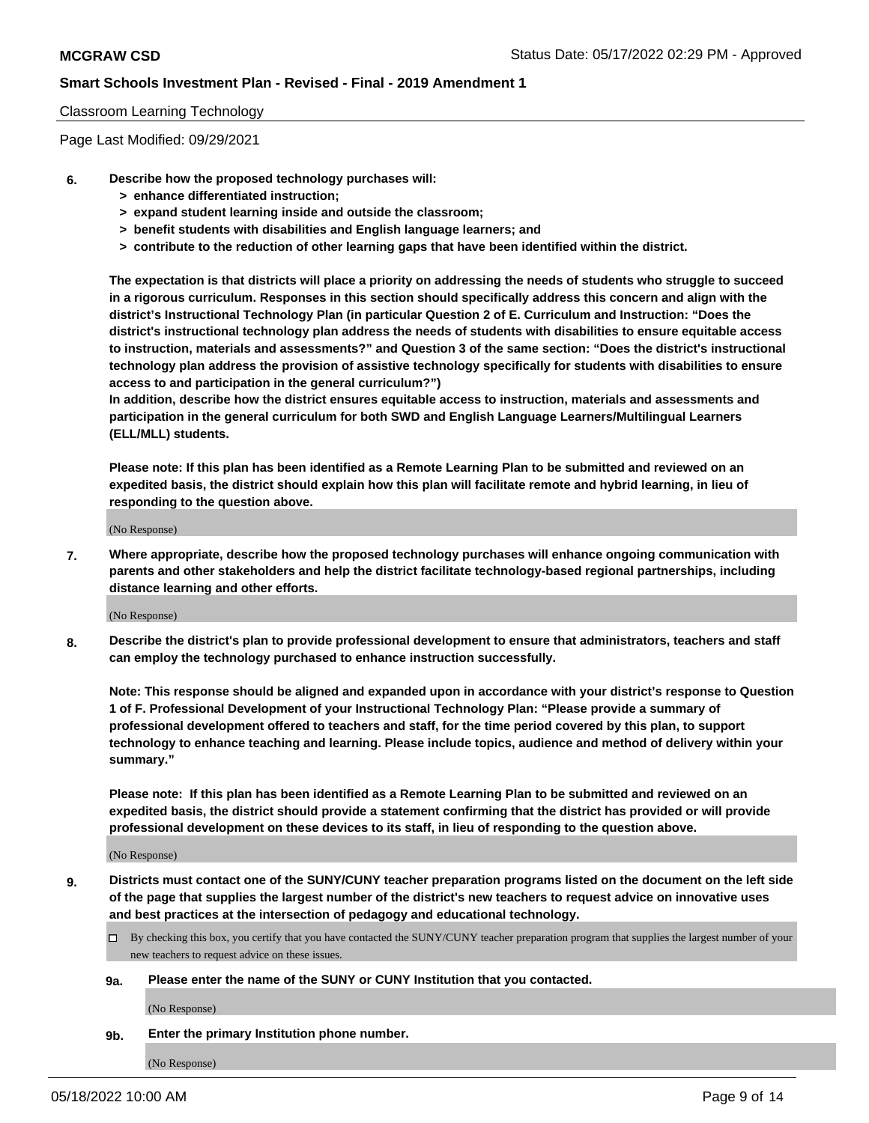#### Classroom Learning Technology

Page Last Modified: 09/29/2021

- **6. Describe how the proposed technology purchases will:**
	- **> enhance differentiated instruction;**
	- **> expand student learning inside and outside the classroom;**
	- **> benefit students with disabilities and English language learners; and**
	- **> contribute to the reduction of other learning gaps that have been identified within the district.**

**The expectation is that districts will place a priority on addressing the needs of students who struggle to succeed in a rigorous curriculum. Responses in this section should specifically address this concern and align with the district's Instructional Technology Plan (in particular Question 2 of E. Curriculum and Instruction: "Does the district's instructional technology plan address the needs of students with disabilities to ensure equitable access to instruction, materials and assessments?" and Question 3 of the same section: "Does the district's instructional technology plan address the provision of assistive technology specifically for students with disabilities to ensure access to and participation in the general curriculum?")**

**In addition, describe how the district ensures equitable access to instruction, materials and assessments and participation in the general curriculum for both SWD and English Language Learners/Multilingual Learners (ELL/MLL) students.**

**Please note: If this plan has been identified as a Remote Learning Plan to be submitted and reviewed on an expedited basis, the district should explain how this plan will facilitate remote and hybrid learning, in lieu of responding to the question above.**

(No Response)

**7. Where appropriate, describe how the proposed technology purchases will enhance ongoing communication with parents and other stakeholders and help the district facilitate technology-based regional partnerships, including distance learning and other efforts.**

(No Response)

**8. Describe the district's plan to provide professional development to ensure that administrators, teachers and staff can employ the technology purchased to enhance instruction successfully.**

**Note: This response should be aligned and expanded upon in accordance with your district's response to Question 1 of F. Professional Development of your Instructional Technology Plan: "Please provide a summary of professional development offered to teachers and staff, for the time period covered by this plan, to support technology to enhance teaching and learning. Please include topics, audience and method of delivery within your summary."**

**Please note: If this plan has been identified as a Remote Learning Plan to be submitted and reviewed on an expedited basis, the district should provide a statement confirming that the district has provided or will provide professional development on these devices to its staff, in lieu of responding to the question above.**

(No Response)

**9. Districts must contact one of the SUNY/CUNY teacher preparation programs listed on the document on the left side of the page that supplies the largest number of the district's new teachers to request advice on innovative uses and best practices at the intersection of pedagogy and educational technology.**

- By checking this box, you certify that you have contacted the SUNY/CUNY teacher preparation program that supplies the largest number of your new teachers to request advice on these issues.
- **9a. Please enter the name of the SUNY or CUNY Institution that you contacted.**

(No Response)

**9b. Enter the primary Institution phone number.**

(No Response)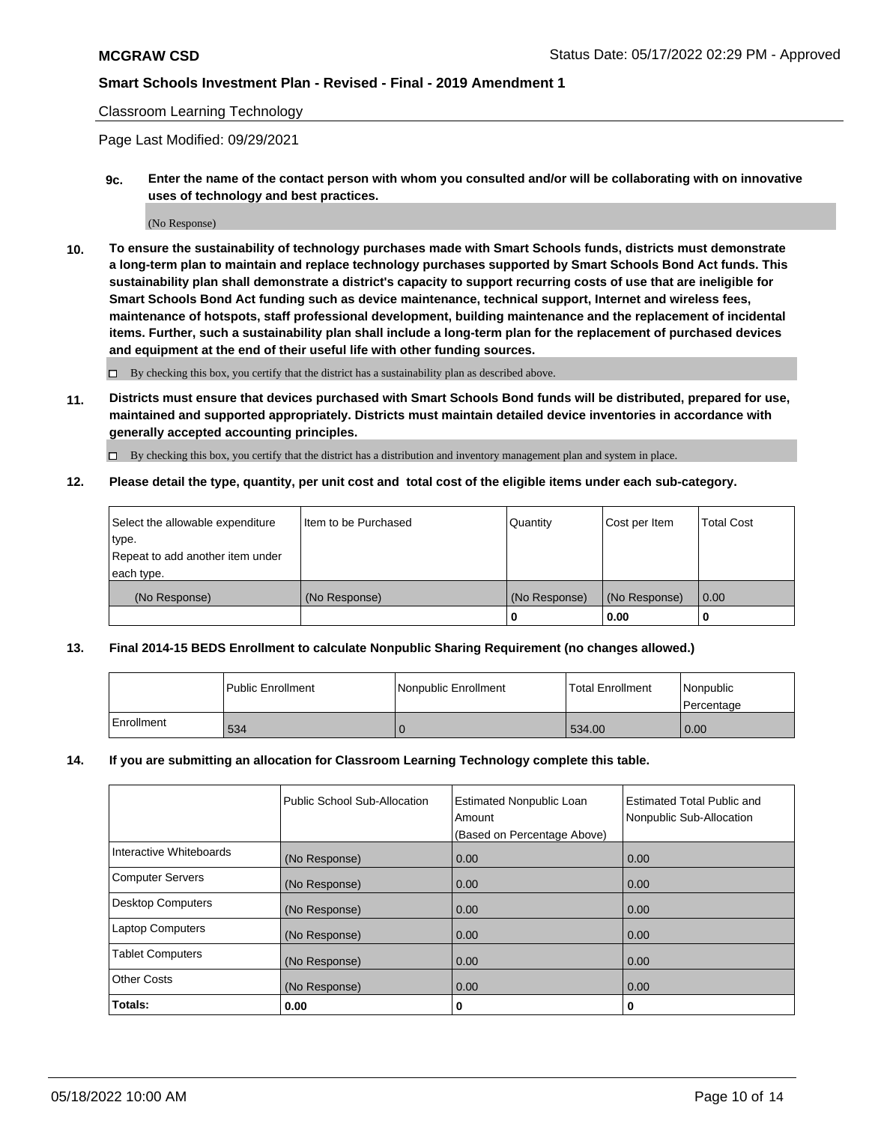### Classroom Learning Technology

Page Last Modified: 09/29/2021

**9c. Enter the name of the contact person with whom you consulted and/or will be collaborating with on innovative uses of technology and best practices.**

(No Response)

**10. To ensure the sustainability of technology purchases made with Smart Schools funds, districts must demonstrate a long-term plan to maintain and replace technology purchases supported by Smart Schools Bond Act funds. This sustainability plan shall demonstrate a district's capacity to support recurring costs of use that are ineligible for Smart Schools Bond Act funding such as device maintenance, technical support, Internet and wireless fees, maintenance of hotspots, staff professional development, building maintenance and the replacement of incidental items. Further, such a sustainability plan shall include a long-term plan for the replacement of purchased devices and equipment at the end of their useful life with other funding sources.**

 $\square$  By checking this box, you certify that the district has a sustainability plan as described above.

**11. Districts must ensure that devices purchased with Smart Schools Bond funds will be distributed, prepared for use, maintained and supported appropriately. Districts must maintain detailed device inventories in accordance with generally accepted accounting principles.**

By checking this box, you certify that the district has a distribution and inventory management plan and system in place.

**12. Please detail the type, quantity, per unit cost and total cost of the eligible items under each sub-category.**

| Select the allowable expenditure | I Item to be Purchased | Quantity      | Cost per Item | Total Cost |
|----------------------------------|------------------------|---------------|---------------|------------|
| type.                            |                        |               |               |            |
| Repeat to add another item under |                        |               |               |            |
| each type.                       |                        |               |               |            |
| (No Response)                    | (No Response)          | (No Response) | (No Response) | 0.00       |
|                                  |                        | u             | 0.00          |            |

### **13. Final 2014-15 BEDS Enrollment to calculate Nonpublic Sharing Requirement (no changes allowed.)**

|            | l Public Enrollment | Nonpublic Enrollment | <b>Total Enrollment</b> | Nonpublic<br>l Percentage |
|------------|---------------------|----------------------|-------------------------|---------------------------|
| Enrollment | 534                 |                      | 534.00                  | 0.00                      |

### **14. If you are submitting an allocation for Classroom Learning Technology complete this table.**

|                          | Public School Sub-Allocation | <b>Estimated Nonpublic Loan</b><br>Amount | <b>Estimated Total Public and</b><br>Nonpublic Sub-Allocation |
|--------------------------|------------------------------|-------------------------------------------|---------------------------------------------------------------|
|                          |                              | (Based on Percentage Above)               |                                                               |
| Interactive Whiteboards  | (No Response)                | 0.00                                      | 0.00                                                          |
| <b>Computer Servers</b>  | (No Response)                | 0.00                                      | 0.00                                                          |
| <b>Desktop Computers</b> | (No Response)                | 0.00                                      | 0.00                                                          |
| <b>Laptop Computers</b>  | (No Response)                | 0.00                                      | 0.00                                                          |
| <b>Tablet Computers</b>  | (No Response)                | 0.00                                      | 0.00                                                          |
| <b>Other Costs</b>       | (No Response)                | 0.00                                      | 0.00                                                          |
| Totals:                  | 0.00                         | 0                                         | 0                                                             |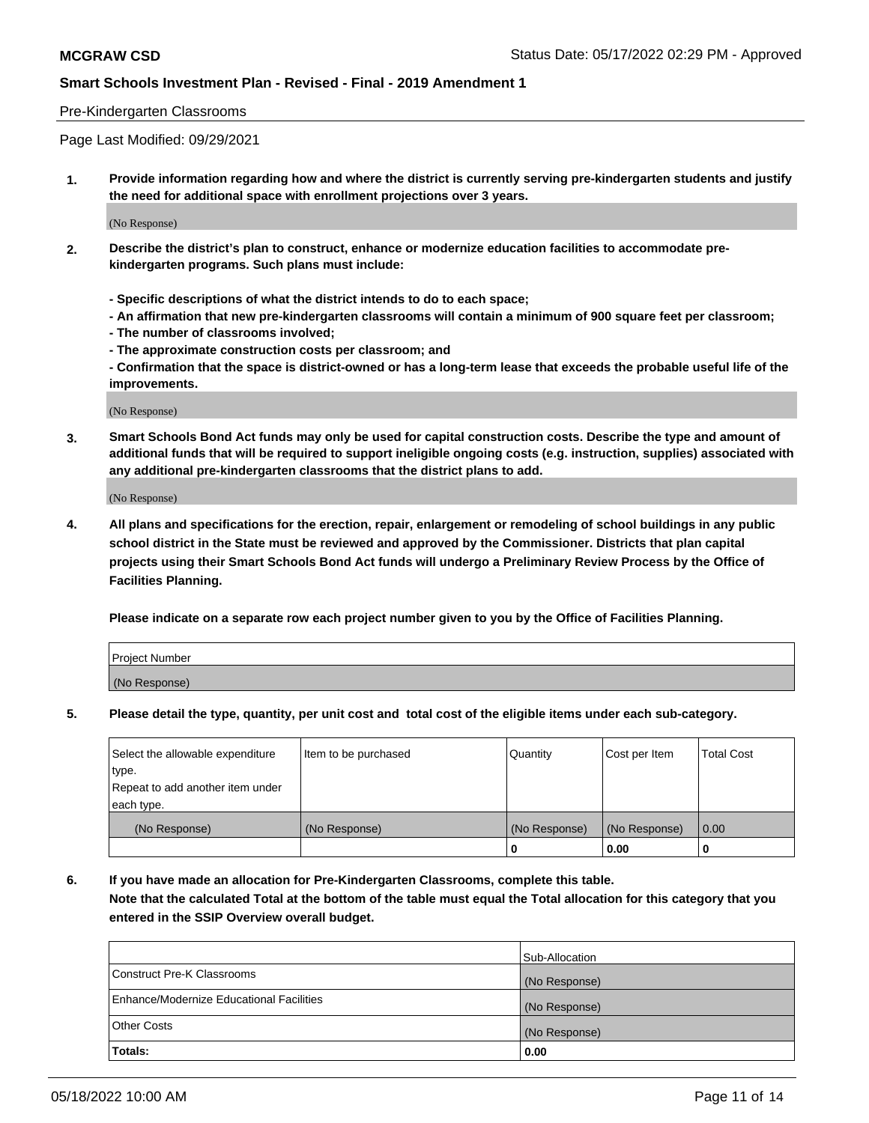#### Pre-Kindergarten Classrooms

Page Last Modified: 09/29/2021

**1. Provide information regarding how and where the district is currently serving pre-kindergarten students and justify the need for additional space with enrollment projections over 3 years.**

(No Response)

- **2. Describe the district's plan to construct, enhance or modernize education facilities to accommodate prekindergarten programs. Such plans must include:**
	- **Specific descriptions of what the district intends to do to each space;**
	- **An affirmation that new pre-kindergarten classrooms will contain a minimum of 900 square feet per classroom;**
	- **The number of classrooms involved;**
	- **The approximate construction costs per classroom; and**
	- **Confirmation that the space is district-owned or has a long-term lease that exceeds the probable useful life of the improvements.**

(No Response)

**3. Smart Schools Bond Act funds may only be used for capital construction costs. Describe the type and amount of additional funds that will be required to support ineligible ongoing costs (e.g. instruction, supplies) associated with any additional pre-kindergarten classrooms that the district plans to add.**

(No Response)

**4. All plans and specifications for the erection, repair, enlargement or remodeling of school buildings in any public school district in the State must be reviewed and approved by the Commissioner. Districts that plan capital projects using their Smart Schools Bond Act funds will undergo a Preliminary Review Process by the Office of Facilities Planning.**

**Please indicate on a separate row each project number given to you by the Office of Facilities Planning.**

| Project Number |  |
|----------------|--|
| (No Response)  |  |

**5. Please detail the type, quantity, per unit cost and total cost of the eligible items under each sub-category.**

| Select the allowable expenditure          | Item to be purchased | Quantity      | Cost per Item | <b>Total Cost</b> |
|-------------------------------------------|----------------------|---------------|---------------|-------------------|
| type.<br>Repeat to add another item under |                      |               |               |                   |
| each type.                                |                      |               |               |                   |
| (No Response)                             | (No Response)        | (No Response) | (No Response) | 0.00              |
|                                           |                      | o             | 0.00          |                   |

**6. If you have made an allocation for Pre-Kindergarten Classrooms, complete this table.**

**Note that the calculated Total at the bottom of the table must equal the Total allocation for this category that you entered in the SSIP Overview overall budget.**

|                                          | Sub-Allocation |
|------------------------------------------|----------------|
| Construct Pre-K Classrooms               | (No Response)  |
| Enhance/Modernize Educational Facilities | (No Response)  |
| <b>Other Costs</b>                       | (No Response)  |
| Totals:                                  | 0.00           |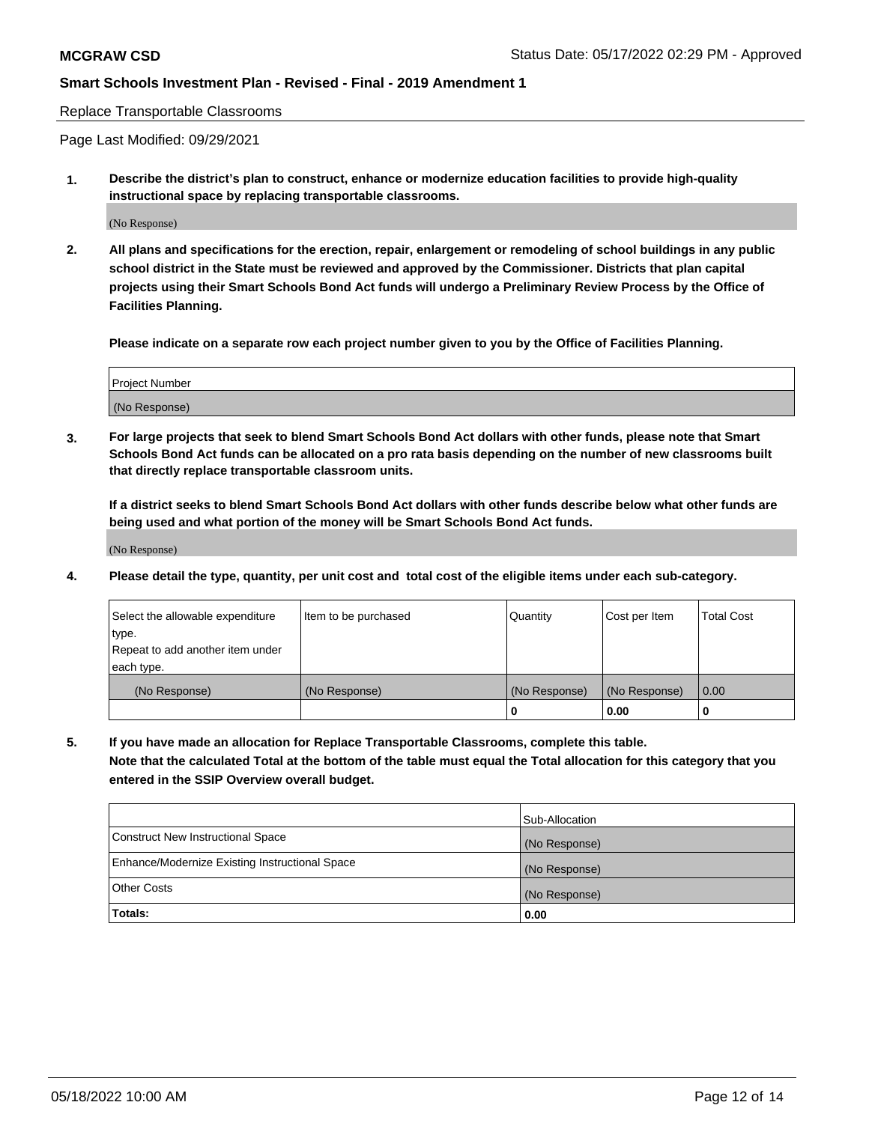#### Replace Transportable Classrooms

Page Last Modified: 09/29/2021

**1. Describe the district's plan to construct, enhance or modernize education facilities to provide high-quality instructional space by replacing transportable classrooms.**

(No Response)

**2. All plans and specifications for the erection, repair, enlargement or remodeling of school buildings in any public school district in the State must be reviewed and approved by the Commissioner. Districts that plan capital projects using their Smart Schools Bond Act funds will undergo a Preliminary Review Process by the Office of Facilities Planning.**

**Please indicate on a separate row each project number given to you by the Office of Facilities Planning.**

| <b>Project Number</b> |  |
|-----------------------|--|
| (No Response)         |  |

**3. For large projects that seek to blend Smart Schools Bond Act dollars with other funds, please note that Smart Schools Bond Act funds can be allocated on a pro rata basis depending on the number of new classrooms built that directly replace transportable classroom units.**

**If a district seeks to blend Smart Schools Bond Act dollars with other funds describe below what other funds are being used and what portion of the money will be Smart Schools Bond Act funds.**

(No Response)

**4. Please detail the type, quantity, per unit cost and total cost of the eligible items under each sub-category.**

| Select the allowable expenditure | Item to be purchased | Quantity      | Cost per Item | <b>Total Cost</b> |
|----------------------------------|----------------------|---------------|---------------|-------------------|
| type.                            |                      |               |               |                   |
| Repeat to add another item under |                      |               |               |                   |
| each type.                       |                      |               |               |                   |
| (No Response)                    | (No Response)        | (No Response) | (No Response) | 0.00              |
|                                  |                      | U             | 0.00          |                   |

**5. If you have made an allocation for Replace Transportable Classrooms, complete this table.**

**Note that the calculated Total at the bottom of the table must equal the Total allocation for this category that you entered in the SSIP Overview overall budget.**

|                                                | Sub-Allocation |
|------------------------------------------------|----------------|
| Construct New Instructional Space              | (No Response)  |
| Enhance/Modernize Existing Instructional Space | (No Response)  |
| <b>Other Costs</b>                             | (No Response)  |
| Totals:                                        | 0.00           |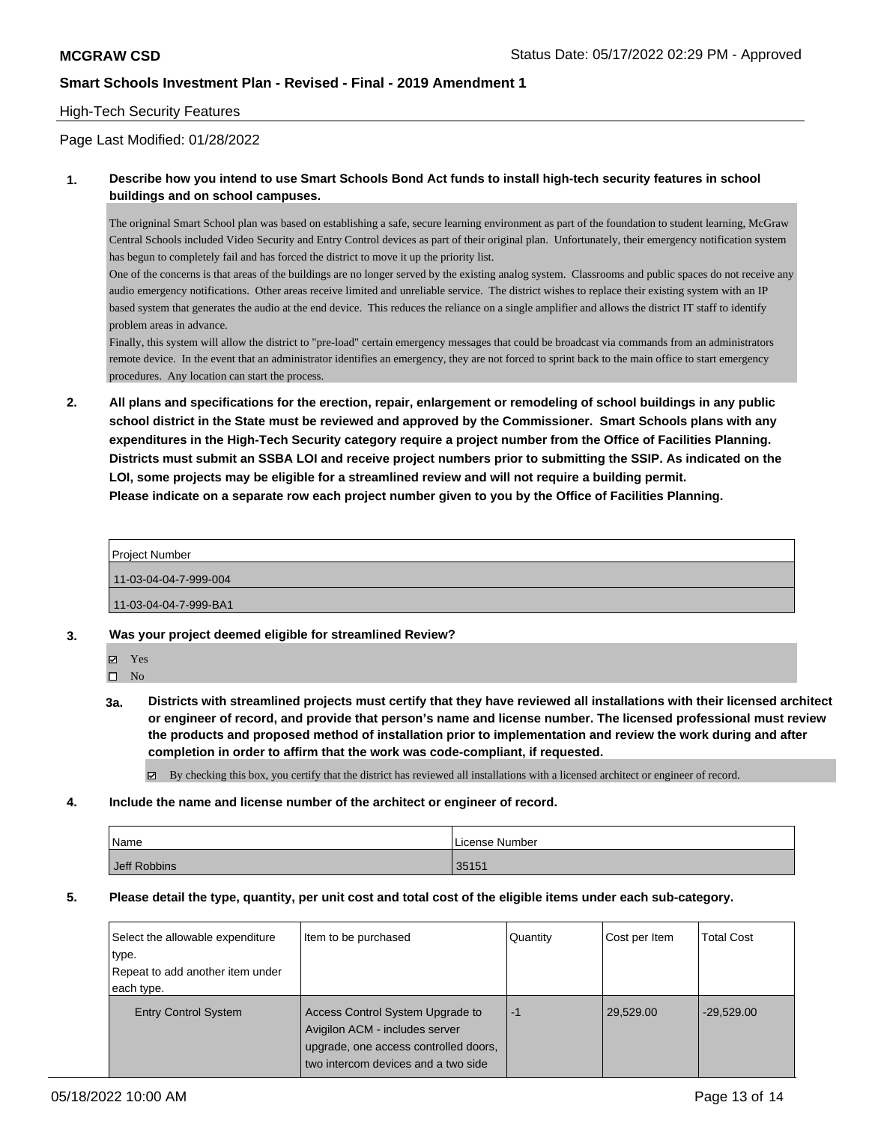### High-Tech Security Features

Page Last Modified: 01/28/2022

### **1. Describe how you intend to use Smart Schools Bond Act funds to install high-tech security features in school buildings and on school campuses.**

The origninal Smart School plan was based on establishing a safe, secure learning environment as part of the foundation to student learning, McGraw Central Schools included Video Security and Entry Control devices as part of their original plan. Unfortunately, their emergency notification system has begun to completely fail and has forced the district to move it up the priority list.

One of the concerns is that areas of the buildings are no longer served by the existing analog system. Classrooms and public spaces do not receive any audio emergency notifications. Other areas receive limited and unreliable service. The district wishes to replace their existing system with an IP based system that generates the audio at the end device. This reduces the reliance on a single amplifier and allows the district IT staff to identify problem areas in advance.

Finally, this system will allow the district to "pre-load" certain emergency messages that could be broadcast via commands from an administrators remote device. In the event that an administrator identifies an emergency, they are not forced to sprint back to the main office to start emergency procedures. Any location can start the process.

**2. All plans and specifications for the erection, repair, enlargement or remodeling of school buildings in any public school district in the State must be reviewed and approved by the Commissioner. Smart Schools plans with any expenditures in the High-Tech Security category require a project number from the Office of Facilities Planning. Districts must submit an SSBA LOI and receive project numbers prior to submitting the SSIP. As indicated on the LOI, some projects may be eligible for a streamlined review and will not require a building permit. Please indicate on a separate row each project number given to you by the Office of Facilities Planning.**

| <b>Project Number</b> |  |
|-----------------------|--|
| 11-03-04-04-7-999-004 |  |
| 11-03-04-04-7-999-BA1 |  |
|                       |  |

- **3. Was your project deemed eligible for streamlined Review?**
	- Yes

 $\square$  No

**3a. Districts with streamlined projects must certify that they have reviewed all installations with their licensed architect or engineer of record, and provide that person's name and license number. The licensed professional must review the products and proposed method of installation prior to implementation and review the work during and after completion in order to affirm that the work was code-compliant, if requested.**

By checking this box, you certify that the district has reviewed all installations with a licensed architect or engineer of record.

**4. Include the name and license number of the architect or engineer of record.**

| Name         | License Number |
|--------------|----------------|
| Jeff Robbins | 35151          |

**5. Please detail the type, quantity, per unit cost and total cost of the eligible items under each sub-category.**

| Select the allowable expenditure<br>type.<br>Repeat to add another item under<br>each type. | Item to be purchased                                                                                                                               | Quantity | Cost per Item | <b>Total Cost</b> |
|---------------------------------------------------------------------------------------------|----------------------------------------------------------------------------------------------------------------------------------------------------|----------|---------------|-------------------|
| <b>Entry Control System</b>                                                                 | Access Control System Upgrade to<br>Avigilon ACM - includes server<br>upgrade, one access controlled doors,<br>two intercom devices and a two side | -1       | 29,529.00     | $-29,529.00$      |